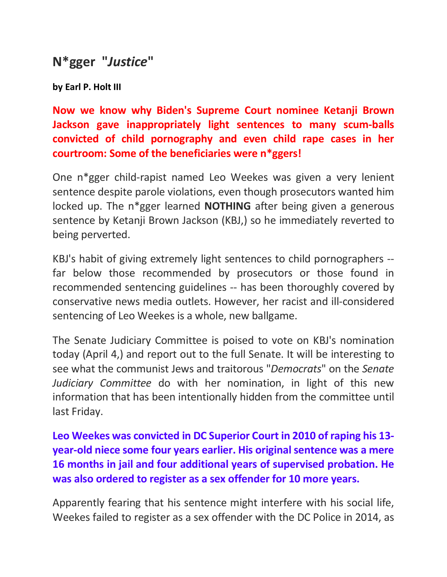## **N\*gger "***Justice***"**

**by Earl P. Holt III**

**Now we know why Biden's Supreme Court nominee Ketanji Brown Jackson gave inappropriately light sentences to many scum-balls convicted of child pornography and even child rape cases in her courtroom: Some of the beneficiaries were n\*ggers!** 

One n\*gger child-rapist named Leo Weekes was given a very lenient sentence despite parole violations, even though prosecutors wanted him locked up. The n\*gger learned **NOTHING** after being given a generous sentence by Ketanji Brown Jackson (KBJ,) so he immediately reverted to being perverted.

KBJ's habit of giving extremely light sentences to child pornographers - far below those recommended by prosecutors or those found in recommended sentencing guidelines -- has been thoroughly covered by conservative news media outlets. However, her racist and ill-considered sentencing of Leo Weekes is a whole, new ballgame.

The Senate Judiciary Committee is poised to vote on KBJ's nomination today (April 4,) and report out to the full Senate. It will be interesting to see what the communist Jews and traitorous "*Democrats*" on the *Senate Judiciary Committee* do with her nomination, in light of this new information that has been intentionally hidden from the committee until last Friday.

**Leo Weekes was convicted in DC Superior Court in 2010 of raping his 13 year-old niece some four years earlier. His original sentence was a mere 16 months in jail and four additional years of supervised probation. He was also ordered to register as a sex offender for 10 more years.** 

Apparently fearing that his sentence might interfere with his social life, Weekes failed to register as a sex offender with the DC Police in 2014, as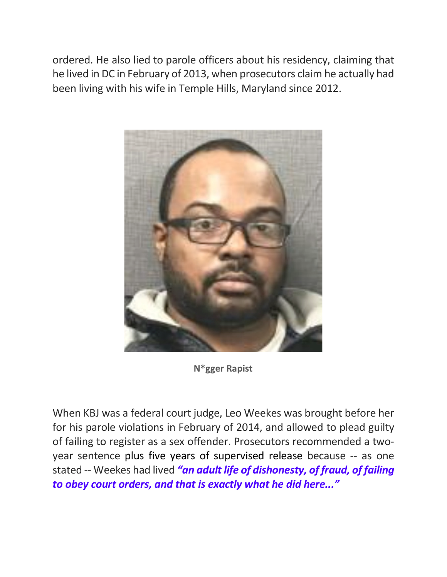ordered. He also lied to parole officers about his residency, claiming that he lived in DC in February of 2013, when prosecutors claim he actually had been living with his wife in Temple Hills, Maryland since 2012.



**N\*gger Rapist**

When KBJ was a federal court judge, Leo Weekes was brought before her for his parole violations in February of 2014, and allowed to plead guilty of failing to register as a sex offender. Prosecutors recommended a twoyear sentence plus five years of supervised release because -- as one stated -- Weekes had lived *"an adult life of dishonesty, of fraud, of failing to obey court orders, and that is exactly what he did here..."*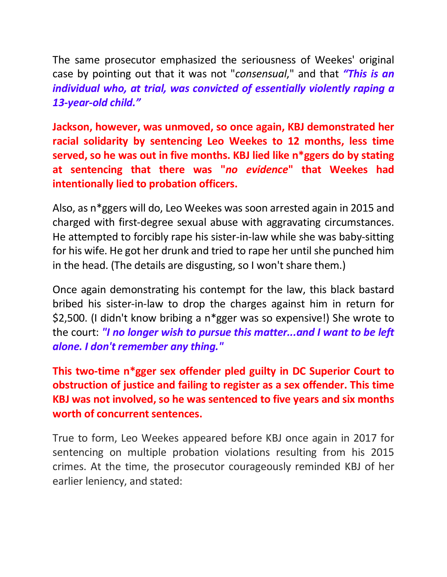The same prosecutor emphasized the seriousness of Weekes' original case by pointing out that it was not "*consensual*," and that *"This is an individual who, at trial, was convicted of essentially violently raping a 13-year-old child."*

**Jackson, however, was unmoved, so once again, KBJ demonstrated her racial solidarity by sentencing Leo Weekes to 12 months, less time served, so he was out in five months. KBJ lied like n\*ggers do by stating at sentencing that there was "***no evidence***" that Weekes had intentionally lied to probation officers.** 

Also, as n\*ggers will do, Leo Weekes was soon arrested again in 2015 and charged with first-degree sexual abuse with aggravating circumstances. He attempted to forcibly rape his sister-in-law while she was baby-sitting for his wife. He got her drunk and tried to rape her until she punched him in the head. (The details are disgusting, so I won't share them.)

Once again demonstrating his contempt for the law, this black bastard bribed his sister-in-law to drop the charges against him in return for \$2,500. (I didn't know bribing a n\*gger was so expensive!) She wrote to the court: *"I no longer wish to pursue this matter...and I want to be left alone. I don't remember any thing."*

**This two-time n\*gger sex offender pled guilty in DC Superior Court to obstruction of justice and failing to register as a sex offender. This time KBJ was not involved, so he was sentenced to five years and six months worth of concurrent sentences.**

True to form, Leo Weekes appeared before KBJ once again in 2017 for sentencing on multiple probation violations resulting from his 2015 crimes. At the time, the prosecutor courageously reminded KBJ of her earlier leniency, and stated: